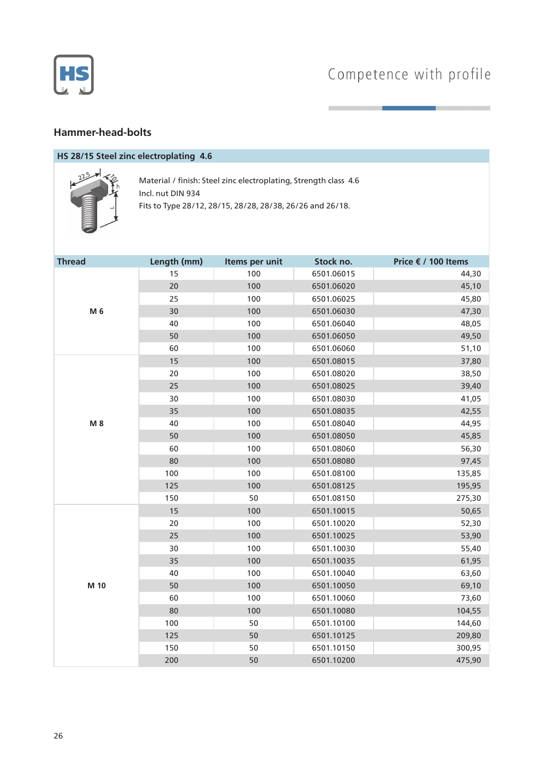

## **Hammer-head-bolts**

# **HS 28/15 Steel zinc electroplating 4.6**



Material / finish: Steel zinc electroplating, Strength class 4.6 Incl. nut DIN 934 Fits to Type 28/12, 28/15, 28/28, 28/38, 26/26 and 26/18.

| <b>Thread</b> | Length (mm) | Items per unit | Stock no.  | Price € / 100 Items |
|---------------|-------------|----------------|------------|---------------------|
|               | 15          | 100            | 6501.06015 | 44,30               |
|               | 20          | 100            | 6501.06020 | 45,10               |
|               | 25          | 100            | 6501.06025 | 45,80               |
| M 6           | 30          | 100            | 6501.06030 | 47,30               |
|               | 40          | 100            | 6501.06040 | 48,05               |
|               | 50          | 100            | 6501.06050 | 49,50               |
|               | 60          | 100            | 6501.06060 | 51,10               |
|               | 15          | 100            | 6501.08015 | 37,80               |
|               | 20          | 100            | 6501.08020 | 38,50               |
|               | 25          | 100            | 6501.08025 | 39,40               |
|               | 30          | 100            | 6501.08030 | 41,05               |
|               | 35          | 100            | 6501.08035 | 42,55               |
| M 8           | 40          | 100            | 6501.08040 | 44,95               |
|               | 50          | 100            | 6501.08050 | 45,85               |
|               | 60          | 100            | 6501.08060 | 56,30               |
|               | 80          | 100            | 6501.08080 | 97,45               |
|               | 100         | 100            | 6501.08100 | 135,85              |
|               | 125         | 100            | 6501.08125 | 195,95              |
|               | 150         | 50             | 6501.08150 | 275,30              |
|               | 15          | 100            | 6501.10015 | 50,65               |
|               | 20          | 100            | 6501.10020 | 52,30               |
|               | 25          | 100            | 6501.10025 | 53,90               |
|               | 30          | 100            | 6501.10030 | 55,40               |
|               | 35          | 100            | 6501.10035 | 61,95               |
| M 10          | 40          | 100            | 6501.10040 | 63,60               |
|               | 50          | 100            | 6501.10050 | 69,10               |
|               | 60          | 100            | 6501.10060 | 73,60               |
|               | 80          | 100            | 6501.10080 | 104,55              |
|               | 100         | 50             | 6501.10100 | 144,60              |
|               | 125         | 50             | 6501.10125 | 209,80              |
|               | 150         | 50             | 6501.10150 | 300,95              |
|               | 200         | 50             | 6501.10200 | 475,90              |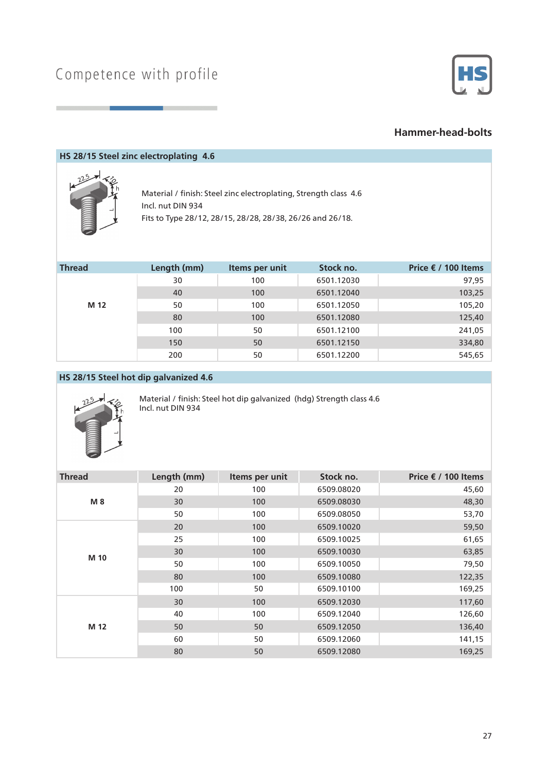

### **Hammer-head-bolts**

#### **HS 28/15 Steel zinc electroplating 4.6**



Material / finish: Steel zinc electroplating, Strength class 4.6 Incl. nut DIN 934 Fits to Type 28/12, 28/15, 28/28, 28/38, 26/26 and 26/18.

| <b>Thread</b> | Length (mm) | Items per unit | Stock no.  | Price € / 100 Items |
|---------------|-------------|----------------|------------|---------------------|
|               | 30          | 100            | 6501.12030 | 97,95               |
|               | 40          | 100            | 6501.12040 | 103,25              |
| M 12          | 50          | 100            | 6501.12050 | 105,20              |
|               | 80          | 100            | 6501.12080 | 125,40              |
|               | 100         | 50             | 6501.12100 | 241,05              |
|               | 150         | 50             | 6501.12150 | 334,80              |
|               | 200         | 50             | 6501.12200 | 545,65              |

### **HS 28/15 Steel hot dip galvanized 4.6**



Material / finish: Steel hot dip galvanized (hdg) Strength class 4.6 Incl. nut DIN 934

| <b>Thread</b> | Length (mm) | Items per unit | Stock no.  | Price € / 100 Items |
|---------------|-------------|----------------|------------|---------------------|
| M 8           | 20          | 100            | 6509.08020 | 45,60               |
|               | 30          | 100            | 6509.08030 | 48,30               |
|               | 50          | 100            | 6509.08050 | 53,70               |
|               | 20          | 100            | 6509.10020 | 59,50               |
|               | 25          | 100            | 6509.10025 | 61,65               |
|               | 30          | 100            | 6509.10030 | 63,85               |
| M 10          | 50          | 100            | 6509.10050 | 79,50               |
|               | 80          | 100            | 6509.10080 | 122,35              |
|               | 100         | 50             | 6509.10100 | 169,25              |
| M 12          | 30          | 100            | 6509.12030 | 117,60              |
|               | 40          | 100            | 6509.12040 | 126,60              |
|               | 50          | 50             | 6509.12050 | 136,40              |
|               | 60          | 50             | 6509.12060 | 141,15              |
|               | 80          | 50             | 6509.12080 | 169,25              |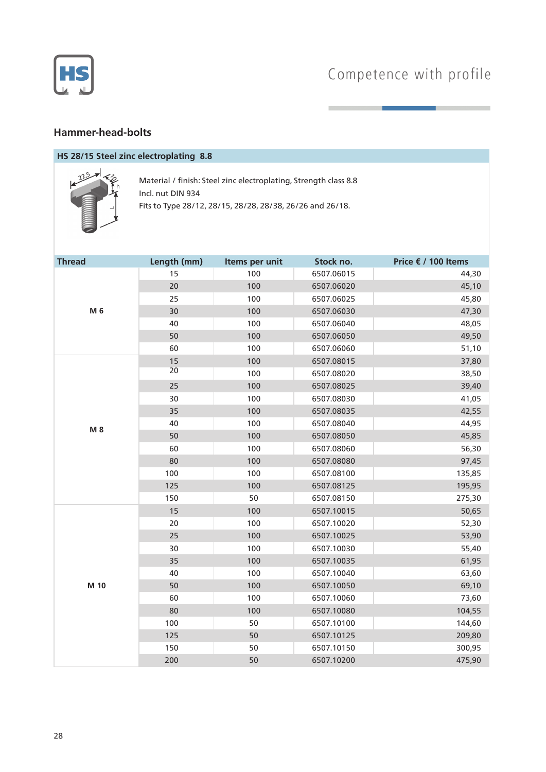

## **Hammer-head-bolts**

# **HS 28/15 Steel zinc electroplating 8.8**



Material / finish: Steel zinc electroplating, Strength class 8.8 Incl. nut DIN 934 Fits to Type 28/12, 28/15, 28/28, 28/38, 26/26 and 26/18.

| <b>Thread</b> | Length (mm) | Items per unit | Stock no.  | Price € / 100 Items |
|---------------|-------------|----------------|------------|---------------------|
|               | 15          | 100            | 6507.06015 | 44,30               |
|               | 20          | 100            | 6507.06020 | 45,10               |
|               | 25          | 100            | 6507.06025 | 45,80               |
| M 6           | 30          | 100            | 6507.06030 | 47,30               |
|               | 40          | 100            | 6507.06040 | 48,05               |
|               | 50          | 100            | 6507.06050 | 49,50               |
|               | 60          | 100            | 6507.06060 | 51,10               |
|               | 15          | 100            | 6507.08015 | 37,80               |
|               | 20          | 100            | 6507.08020 | 38,50               |
|               | 25          | 100            | 6507.08025 | 39,40               |
|               | 30          | 100            | 6507.08030 | 41,05               |
|               | 35          | 100            | 6507.08035 | 42,55               |
| M 8           | 40          | 100            | 6507.08040 | 44,95               |
|               | 50          | 100            | 6507.08050 | 45,85               |
|               | 60          | 100            | 6507.08060 | 56,30               |
|               | 80          | 100            | 6507.08080 | 97,45               |
|               | 100         | 100            | 6507.08100 | 135,85              |
|               | 125         | 100            | 6507.08125 | 195,95              |
|               | 150         | 50             | 6507.08150 | 275,30              |
|               | 15          | 100            | 6507.10015 | 50,65               |
|               | 20          | 100            | 6507.10020 | 52,30               |
|               | 25          | 100            | 6507.10025 | 53,90               |
|               | 30          | 100            | 6507.10030 | 55,40               |
|               | 35          | 100            | 6507.10035 | 61,95               |
|               | 40          | 100            | 6507.10040 | 63,60               |
| M 10          | 50          | 100            | 6507.10050 | 69,10               |
|               | 60          | 100            | 6507.10060 | 73,60               |
|               | 80          | 100            | 6507.10080 | 104,55              |
|               | 100         | 50             | 6507.10100 | 144,60              |
|               | 125         | 50             | 6507.10125 | 209,80              |
|               | 150         | 50             | 6507.10150 | 300,95              |
|               | 200         | 50             | 6507.10200 | 475,90              |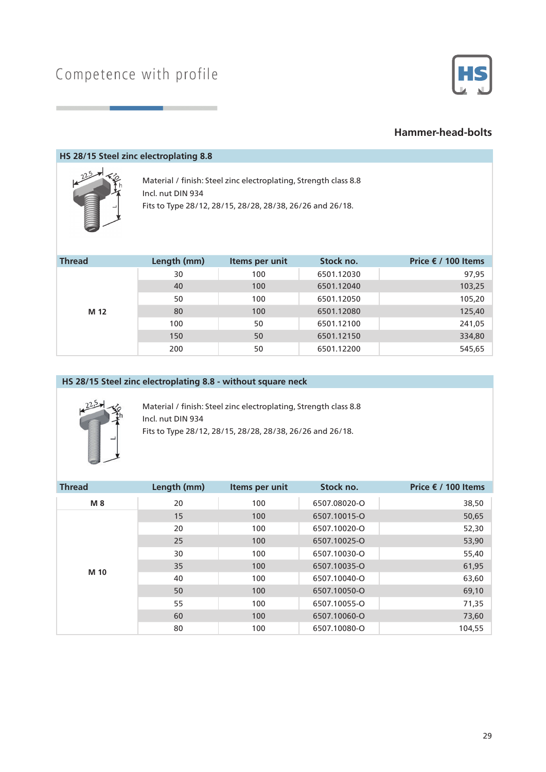

### **Hammer-head-bolts**

#### **HS 28/15 Steel zinc electroplating 8.8**



Material / finish: Steel zinc electroplating, Strength class 8.8 Incl. nut DIN 934 Fits to Type 28/12, 28/15, 28/28, 28/38, 26/26 and 26/18.

| <b>Thread</b> | Length (mm) | Items per unit | Stock no.  | Price € / 100 Items |
|---------------|-------------|----------------|------------|---------------------|
|               | 30          | 100            | 6501.12030 | 97,95               |
|               | 40          | 100            | 6501.12040 | 103,25              |
| M 12          | 50          | 100            | 6501.12050 | 105,20              |
|               | 80          | 100            | 6501.12080 | 125,40              |
|               | 100         | 50             | 6501.12100 | 241,05              |
|               | 150         | 50             | 6501.12150 | 334,80              |
|               | 200         | 50             | 6501.12200 | 545,65              |

#### **HS 28/15 Steel zinc electroplating 8.8 - without square neck**



Material / finish: Steel zinc electroplating, Strength class 8.8 Incl. nut DIN 934 Fits to Type 28/12, 28/15, 28/28, 28/38, 26/26 and 26/18.

| <b>Thread</b> | Length (mm) | Items per unit | Stock no.    | Price $€$ / 100 Items |
|---------------|-------------|----------------|--------------|-----------------------|
| M 8           | 20          | 100            | 6507.08020-O | 38,50                 |
|               | 15          | 100            | 6507.10015-O | 50,65                 |
|               | 20          | 100            | 6507.10020-O | 52,30                 |
|               | 25          | 100            | 6507.10025-O | 53,90                 |
| M 10          | 30          | 100            | 6507.10030-O | 55,40                 |
|               | 35          | 100            | 6507.10035-O | 61,95                 |
|               | 40          | 100            | 6507.10040-O | 63,60                 |
|               | 50          | 100            | 6507.10050-O | 69,10                 |
|               | 55          | 100            | 6507.10055-O | 71,35                 |
|               | 60          | 100            | 6507.10060-O | 73,60                 |
|               | 80          | 100            | 6507.10080-O | 104,55                |